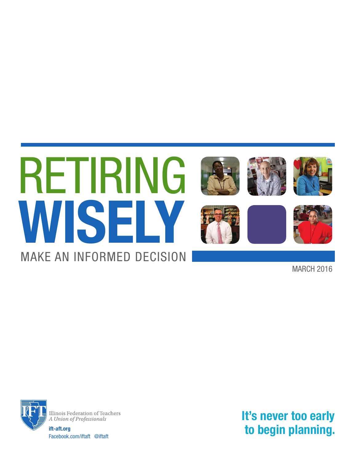

MARCH 2016



Illinois Federation of Teachers A Union of Professionals

**ift-aft.org** Facebook.com/iftaft @iftaft **It's never too early to begin planning.**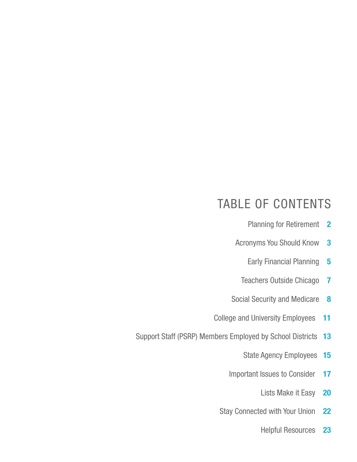# TABLE OF CONTENTS

- Planning for Retirement **2**
- Acronyms You Should Know **3**
	- Early Financial Planning **5**
	- Teachers Outside Chicago **7**
- Social Security and Medicare **8**
- College and University Employees **11**
- Support Staff (PSRP) Members Employed by School Districts **13**
	- State Agency Employees **15**
	- Important Issues to Consider **17**
		- Lists Make it Easy **20**
	- Stay Connected with Your Union **22**
		- Helpful Resources **23**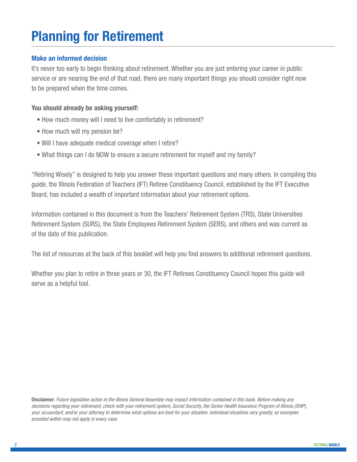# **Planning for Retirement**

# **Make an informed decision**

It's never too early to begin thinking about retirement. Whether you are just entering your career in public service or are nearing the end of that road, there are many important things you should consider right now to be prepared when the time comes.

# **You should already be asking yourself:**

- How much money will I need to live comfortably in retirement?
- How much will my pension be?
- Will I have adequate medical coverage when I retire?
- What things can I do NOW to ensure a secure retirement for myself and my family?

"Retiring Wisely" is designed to help you answer these important questions and many others. In compiling this guide, the Illinois Federation of Teachers (IFT) Retiree Constituency Council, established by the IFT Executive Board, has included a wealth of important information about your retirement options.

Information contained in this document is from the Teachers' Retirement System (TRS), State Universities Retirement System (SURS), the State Employees Retirement System (SERS), and others and was current as of the date of this publication.

The list of resources at the back of this booklet will help you find answers to additional retirement questions.

Whether you plan to retire in three years or 30, the IFT Retirees Constituency Council hopes this guide will serve as a helpful tool.

**Disclaimer:** Future legislative action in the Illinois General Assembly may impact information contained in this book. Before making any decisions regarding your retirement, check with your retirement system, Social Security, the Senior Health Insurance Program of Illinois (SHIP), your accountant, and/or your attorney to determine what options are best for your situation. Individual situations vary greatly, so examples provided within may not apply in every case.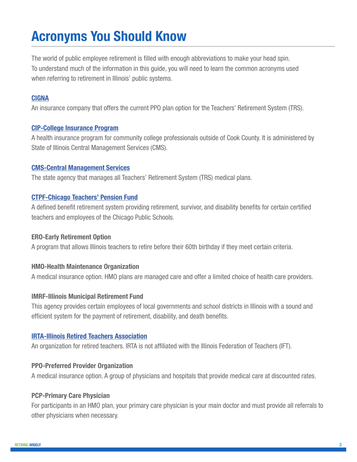# **Acronyms You Should Know**

The world of public employee retirement is filled with enough abbreviations to make your head spin. To understand much of the information in this guide, you will need to learn the common acronyms used when referring to retirement in Illinois' public systems.

# **[CIGNA](http://www.healthplanone.com/CIGNA-Illinois.aspx)**

An insurance company that offers the current PPO plan option for the Teachers' Retirement System (TRS).

### **[CIP-College Insurance Program](https://www.illinois.gov/cms/Employees/benefits/trail/cip/Pages/default.aspx)**

A health insurance program for community college professionals outside of Cook County. It is administered by State of Illinois Central Management Services (CMS).

### **[CMS-Central Management Services](http://www.illinois.gov/cms/Pages/default.aspx)**

The state agency that manages all Teachers' Retirement System (TRS) medical plans.

### **[CTPF-Chicago Teachers' Pension Fund](http://www.ctpf.org/)**

A defined benefit retirement system providing retirement, survivor, and disability benefits for certain certified teachers and employees of the Chicago Public Schools.

# **ERO-Early Retirement Option**

A program that allows Illinois teachers to retire before their 60th birthday if they meet certain criteria.

# **HMO-Health Maintenance Organization**

A medical insurance option. HMO plans are managed care and offer a limited choice of health care providers.

### **IMRF-Illinois Municipal Retirement Fund**

This agency provides certain employees of local governments and school districts in Illinois with a sound and efficient system for the payment of retirement, disability, and death benefits.

### **[IRTA-Illinois Retired Teachers Association](https://www.irtaonline.org/)**

An organization for retired teachers. IRTA is not affiliated with the Illinois Federation of Teachers (IFT).

### **PPO-Preferred Provider Organization**

A medical insurance option. A group of physicians and hospitals that provide medical care at discounted rates.

# **PCP-Primary Care Physician**

For participants in an HMO plan, your primary care physician is your main doctor and must provide all referrals to other physicians when necessary.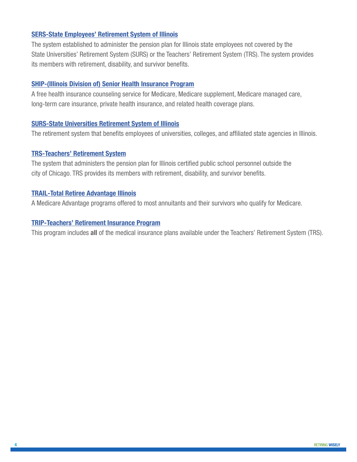### **[SERS-State Employees' Retirement System of Illinois](https://www.srs.illinois.gov/SERS/home_sers.htm)**

The system established to administer the pension plan for Illinois state employees not covered by the State Universities' Retirement System (SURS) or the Teachers' Retirement System (TRS). The system provides its members with retirement, disability, and survivor benefits.

### **[SHIP-\(Illinois Division of\) Senior Health Insurance Program](http://www.illinois.gov/aging/ship/Pages/default.aspx)**

A free health insurance counseling service for Medicare, Medicare supplement, Medicare managed care, long-term care insurance, private health insurance, and related health coverage plans.

### **[SURS-State Universities Retirement System of Illinois](http://www.surs.com/)**

The retirement system that benefits employees of universities, colleges, and affiliated state agencies in Illinois.

### **[TRS-Teachers' Retirement System](http://trs.illinois.gov/)**

The system that administers the pension plan for Illinois certified public school personnel outside the city of Chicago. TRS provides its members with retirement, disability, and survivor benefits.

### **[TRAIL-Total Retiree Advantage Illinois](http://www.illinois.gov/cms/Employees/benefits/trail/Pages/default.aspx)**

A Medicare Advantage programs offered to most annuitants and their survivors who qualify for Medicare.

### **[TRIP-Teachers' Retirement Insurance Program](http://www.illinois.gov/cms/Employees/benefits/Teachers/Pages/default.aspx)**

This program includes **all** of the medical insurance plans available under the Teachers' Retirement System (TRS).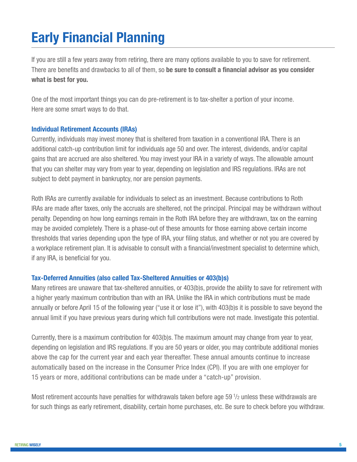# **Early Financial Planning**

If you are still a few years away from retiring, there are many options available to you to save for retirement. There are benefits and drawbacks to all of them, so **be sure to consult a financial advisor as you consider what is best for you.**

One of the most important things you can do pre-retirement is to tax-shelter a portion of your income. Here are some smart ways to do that.

### **Individual Retirement Accounts (IRAs)**

Currently, individuals may invest money that is sheltered from taxation in a conventional IRA. There is an additional catch-up contribution limit for individuals age 50 and over. The interest, dividends, and/or capital gains that are accrued are also sheltered. You may invest your IRA in a variety of ways. The allowable amount that you can shelter may vary from year to year, depending on legislation and IRS regulations. IRAs are not subject to debt payment in bankruptcy, nor are pension payments.

Roth IRAs are currently available for individuals to select as an investment. Because contributions to Roth IRAs are made after taxes, only the accruals are sheltered, not the principal. Principal may be withdrawn without penalty. Depending on how long earnings remain in the Roth IRA before they are withdrawn, tax on the earning may be avoided completely. There is a phase-out of these amounts for those earning above certain income thresholds that varies depending upon the type of IRA, your filing status, and whether or not you are covered by a workplace retirement plan. It is advisable to consult with a financial/investment specialist to determine which, if any IRA, is beneficial for you.

### **Tax-Deferred Annuities (also called Tax-Sheltered Annuities or 403(b)s)**

Many retirees are unaware that tax-sheltered annuities, or 403(b)s, provide the ability to save for retirement with a higher yearly maximum contribution than with an IRA. Unlike the IRA in which contributions must be made annually or before April 15 of the following year ("use it or lose it"), with 403(b)s it is possible to save beyond the annual limit if you have previous years during which full contributions were not made. Investigate this potential.

Currently, there is a maximum contribution for 403(b)s. The maximum amount may change from year to year, depending on legislation and IRS regulations. If you are 50 years or older, you may contribute additional monies above the cap for the current year and each year thereafter. These annual amounts continue to increase automatically based on the increase in the Consumer Price Index (CPI). If you are with one employer for 15 years or more, additional contributions can be made under a "catch-up" provision.

Most retirement accounts have penalties for withdrawals taken before age 59 $1/z$  unless these withdrawals are for such things as early retirement, disability, certain home purchases, etc. Be sure to check before you withdraw.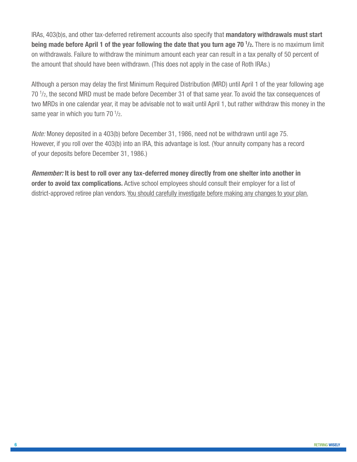IRAs, 403(b)s, and other tax-deferred retirement accounts also specify that **mandatory withdrawals must start being made before April 1 of the year following the date that you turn age 70**  $1$ **/2. There is no maximum limit** on withdrawals. Failure to withdraw the minimum amount each year can result in a tax penalty of 50 percent of the amount that should have been withdrawn. (This does not apply in the case of Roth IRAs.)

Although a person may delay the first Minimum Required Distribution (MRD) until April 1 of the year following age 70<sup>1</sup>/<sub>2</sub>, the second MRD must be made before December 31 of that same year. To avoid the tax consequences of two MRDs in one calendar year, it may be advisable not to wait until April 1, but rather withdraw this money in the same year in which you turn 70<sup>1</sup>/2.

Note: Money deposited in a 403(b) before December 31, 1986, need not be withdrawn until age 75. However, if you roll over the 403(b) into an IRA, this advantage is lost. (Your annuity company has a record of your deposits before December 31, 1986.)

**Remember: It is best to roll over any tax-deferred money directly from one shelter into another in order to avoid tax complications.** Active school employees should consult their employer for a list of district-approved retiree plan vendors. You should carefully investigate before making any changes to your plan.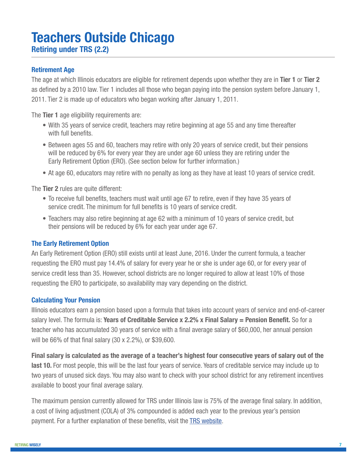# **Teachers Outside Chicago Retiring under TRS (2.2)**

### **Retirement Age**

The age at which Illinois educators are eligible for retirement depends upon whether they are in **Tier 1** or **Tier 2** as defined by a 2010 law. Tier 1 includes all those who began paying into the pension system before January 1, 2011. Tier 2 is made up of educators who began working after January 1, 2011.

The **Tier 1** age eligibility requirements are:

- With 35 years of service credit, teachers may retire beginning at age 55 and any time thereafter with full benefits.
- Between ages 55 and 60, teachers may retire with only 20 years of service credit, but their pensions will be reduced by 6% for every year they are under age 60 unless they are retiring under the Early Retirement Option (ERO). (See section below for further information.)
- At age 60, educators may retire with no penalty as long as they have at least 10 years of service credit.

The **Tier 2** rules are quite different:

- To receive full benefits, teachers must wait until age 67 to retire, even if they have 35 years of service credit. The minimum for full benefits is 10 years of service credit.
- Teachers may also retire beginning at age 62 with a minimum of 10 years of service credit, but their pensions will be reduced by 6% for each year under age 67.

#### **The Early Retirement Option**

An Early Retirement Option (ERO) still exists until at least June, 2016. Under the current formula, a teacher requesting the ERO must pay 14.4% of salary for every year he or she is under age 60, or for every year of service credit less than 35. However, school districts are no longer required to allow at least 10% of those requesting the ERO to participate, so availability may vary depending on the district.

#### **Calculating Your Pension**

Illinois educators earn a pension based upon a formula that takes into account years of service and end-of-career salary level. The formula is: **Years of Creditable Service x 2.2% x Final Salary = Pension Benefit.** So for a teacher who has accumulated 30 years of service with a final average salary of \$60,000, her annual pension will be 66% of that final salary (30 x 2.2%), or \$39,600.

**Final salary is calculated as the average of a teacher's highest four consecutive years of salary out of the**  last 10. For most people, this will be the last four years of service. Years of creditable service may include up to two years of unused sick days. You may also want to check with your school district for any retirement incentives available to boost your final average salary.

The maximum pension currently allowed for TRS under Illinois law is 75% of the average final salary. In addition, a cost of living adjustment (COLA) of 3% compounded is added each year to the previous year's pension payment. For a further explanation of these benefits, visit the [TRS website](http://trs.illinois.gov/).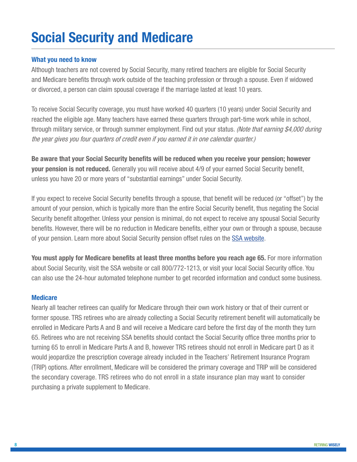# **Social Security and Medicare**

### **What you need to know**

Although teachers are not covered by Social Security, many retired teachers are eligible for Social Security and Medicare benefits through work outside of the teaching profession or through a spouse. Even if widowed or divorced, a person can claim spousal coverage if the marriage lasted at least 10 years.

To receive Social Security coverage, you must have worked 40 quarters (10 years) under Social Security and reached the eligible age. Many teachers have earned these quarters through part-time work while in school, through military service, or through summer employment. Find out your status. *(Note that earning \$4,000 during* the year gives you four quarters of credit even if you earned it in one calendar quarter.)

**Be aware that your Social Security benefits will be reduced when you receive your pension; however your pension is not reduced.** Generally you will receive about 4/9 of your earned Social Security benefit, unless you have 20 or more years of "substantial earnings" under Social Security.

If you expect to receive Social Security benefits through a spouse, that benefit will be reduced (or "offset") by the amount of your pension, which is typically more than the entire Social Security benefit, thus negating the Social Security benefit altogether. Unless your pension is minimal, do not expect to receive any spousal Social Security benefits. However, there will be no reduction in Medicare benefits, either your own or through a spouse, because of your pension. Learn more about Social Security pension offset rules on the [SSA website](https://www.ssa.gov/).

**You must apply for Medicare benefits at least three months before you reach age 65.** For more information about Social Security, visit the SSA website or call 800/772-1213, or visit your local Social Security office. You can also use the 24-hour automated telephone number to get recorded information and conduct some business.

### **Medicare**

Nearly all teacher retirees can qualify for Medicare through their own work history or that of their current or former spouse. TRS retirees who are already collecting a Social Security retirement benefit will automatically be enrolled in Medicare Parts A and B and will receive a Medicare card before the first day of the month they turn 65. Retirees who are not receiving SSA benefits should contact the Social Security office three months prior to turning 65 to enroll in Medicare Parts A and B, however TRS retirees should not enroll in Medicare part D as it would jeopardize the prescription coverage already included in the Teachers' Retirement Insurance Program (TRIP) options. After enrollment, Medicare will be considered the primary coverage and TRIP will be considered the secondary coverage. TRS retirees who do not enroll in a state insurance plan may want to consider purchasing a private supplement to Medicare.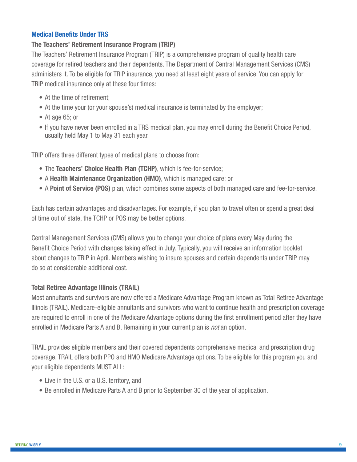# **Medical Benefits Under TRS**

### **The Teachers' Retirement Insurance Program (TRIP)**

The Teachers' Retirement Insurance Program (TRIP) is a comprehensive program of quality health care coverage for retired teachers and their dependents. The Department of Central Management Services (CMS) administers it. To be eligible for TRIP insurance, you need at least eight years of service. You can apply for TRIP medical insurance only at these four times:

- At the time of retirement;
- At the time your (or your spouse's) medical insurance is terminated by the employer;
- At age 65; or
- If you have never been enrolled in a TRS medical plan, you may enroll during the Benefit Choice Period, usually held May 1 to May 31 each year.

TRIP offers three different types of medical plans to choose from:

- The **Teachers' Choice Health Plan (TCHP)**, which is fee-for-service;
- A **Health Maintenance Organization (HMO)**, which is managed care; or
- A **Point of Service (POS)** plan, which combines some aspects of both managed care and fee-for-service.

Each has certain advantages and disadvantages. For example, if you plan to travel often or spend a great deal of time out of state, the TCHP or POS may be better options.

Central Management Services (CMS) allows you to change your choice of plans every May during the Benefit Choice Period with changes taking effect in July. Typically, you will receive an information booklet about changes to TRIP in April. Members wishing to insure spouses and certain dependents under TRIP may do so at considerable additional cost.

### **Total Retiree Advantage Illinois (TRAIL)**

Most annuitants and survivors are now offered a Medicare Advantage Program known as Total Retiree Advantage Illinois (TRAIL). Medicare-eligible annuitants and survivors who want to continue health and prescription coverage are required to enroll in one of the Medicare Advantage options during the first enrollment period after they have enrolled in Medicare Parts A and B. Remaining in your current plan is *not* an option.

TRAIL provides eligible members and their covered dependents comprehensive medical and prescription drug coverage. TRAIL offers both PPO and HMO Medicare Advantage options. To be eligible for this program you and your eligible dependents MUST ALL:

- Live in the U.S. or a U.S. territory, and
- Be enrolled in Medicare Parts A and B prior to September 30 of the year of application.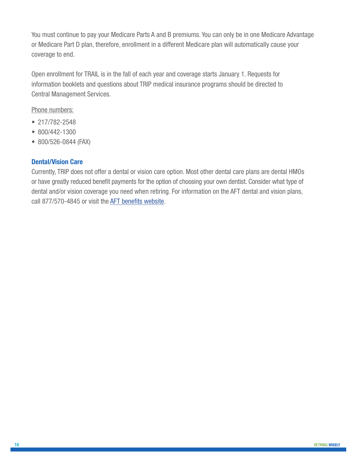You must continue to pay your Medicare Parts A and B premiums. You can only be in one Medicare Advantage or Medicare Part D plan, therefore, enrollment in a different Medicare plan will automatically cause your coverage to end.

Open enrollment for TRAIL is in the fall of each year and coverage starts January 1. Requests for information booklets and questions about TRIP medical insurance programs should be directed to Central Management Services.

Phone numbers:

- 217/782-2548
- 800/442-1300
- 800/526-0844 (FAX)

# **Dental/Vision Care**

Currently, TRIP does not offer a dental or vision care option. Most other dental care plans are dental HMOs or have greatly reduced benefit payments for the option of choosing your own dentist. Consider what type of dental and/or vision coverage you need when retiring. For information on the AFT dental and vision plans, call 877/570-4845 or visit the [AFT benefits website](http://www.aft.org/about/member-benefits).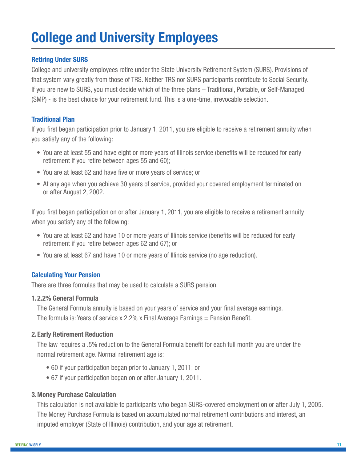# **College and University Employees**

# **Retiring Under SURS**

College and university employees retire under the State University Retirement System (SURS). Provisions of that system vary greatly from those of TRS. Neither TRS nor SURS participants contribute to Social Security. If you are new to SURS, you must decide which of the three plans – Traditional, Portable, or Self-Managed (SMP) - is the best choice for your retirement fund. This is a one-time, irrevocable selection.

# **Traditional Plan**

If you first began participation prior to January 1, 2011, you are eligible to receive a retirement annuity when you satisfy any of the following:

- You are at least 55 and have eight or more years of Illinois service (benefits will be reduced for early retirement if you retire between ages 55 and 60);
- You are at least 62 and have five or more years of service; or
- At any age when you achieve 30 years of service, provided your covered employment terminated on or after August 2, 2002.

If you first began participation on or after January 1, 2011, you are eligible to receive a retirement annuity when you satisfy any of the following:

- You are at least 62 and have 10 or more years of Illinois service (benefits will be reduced for early retirement if you retire between ages 62 and 67); or
- You are at least 67 and have 10 or more years of Illinois service (no age reduction).

# **Calculating Your Pension**

There are three formulas that may be used to calculate a SURS pension.

### **1.2.2% General Formula**

The General Formula annuity is based on your years of service and your final average earnings. The formula is: Years of service x 2.2% x Final Average Earnings  $=$  Pension Benefit.

# **2.Early Retirement Reduction**

The law requires a .5% reduction to the General Formula benefit for each full month you are under the normal retirement age. Normal retirement age is:

- 60 if your participation began prior to January 1, 2011; or
- 67 if your participation began on or after January 1, 2011.

# **3.Money Purchase Calculation**

This calculation is not available to participants who began SURS-covered employment on or after July 1, 2005. The Money Purchase Formula is based on accumulated normal retirement contributions and interest, an imputed employer (State of Illinois) contribution, and your age at retirement.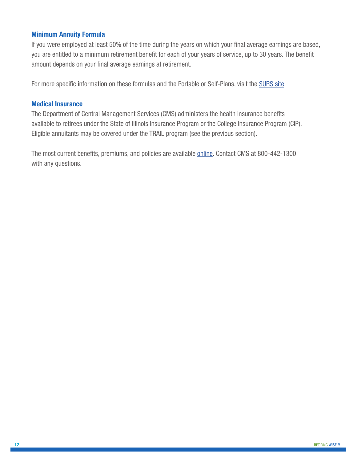### **Minimum Annuity Formula**

If you were employed at least 50% of the time during the years on which your final average earnings are based, you are entitled to a minimum retirement benefit for each of your years of service, up to 30 years. The benefit amount depends on your final average earnings at retirement.

For more specific information on these formulas and the Portable or Self-Plans, visit the [SURS site.](http://www.surs.com/)

### **Medical Insurance**

The Department of Central Management Services (CMS) administers the health insurance benefits available to retirees under the State of Illinois Insurance Program or the College Insurance Program (CIP). Eligible annuitants may be covered under the TRAIL program (see the previous section).

The most current benefits, premiums, and policies are available [online](http://www.illinois.gov/cms/Pages/default.aspx). Contact CMS at 800-442-1300 with any questions.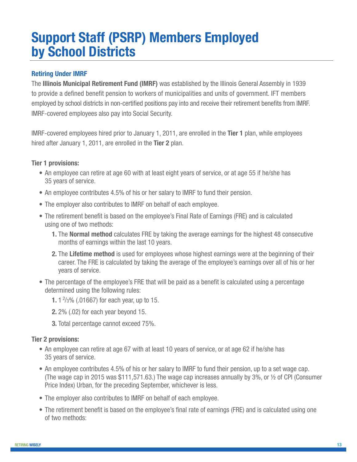# **Support Staff (PSRP) Members Employed by School Districts**

# **Retiring Under IMRF**

The **Illinois Municipal Retirement Fund (IMRF)** was established by the Illinois General Assembly in 1939 to provide a defined benefit pension to workers of municipalities and units of government. IFT members employed by school districts in non-certified positions pay into and receive their retirement benefits from IMRF. IMRF-covered employees also pay into Social Security.

IMRF-covered employees hired prior to January 1, 2011, are enrolled in the **Tier 1** plan, while employees hired after January 1, 2011, are enrolled in the **Tier 2** plan.

### **Tier 1 provisions:**

- An employee can retire at age 60 with at least eight years of service, or at age 55 if he/she has 35 years of service.
- An employee contributes 4.5% of his or her salary to IMRF to fund their pension.
- The employer also contributes to IMRF on behalf of each employee.
- The retirement benefit is based on the employee's Final Rate of Earnings (FRE) and is calculated using one of two methods:
	- **1.** The **Normal method** calculates FRE by taking the average earnings for the highest 48 consecutive months of earnings within the last 10 years.
	- **2.** The **Lifetime method** is used for employees whose highest earnings were at the beginning of their career. The FRE is calculated by taking the average of the employee's earnings over all of his or her years of service.
- The percentage of the employee's FRE that will be paid as a benefit is calculated using a percentage determined using the following rules:
- **1.** 1 2 /3% (.01667) for each year, up to 15.
	- **2.** 2% (.02) for each year beyond 15.
	- **3.** Total percentage cannot exceed 75%.

### **Tier 2 provisions:**

- An employee can retire at age 67 with at least 10 years of service, or at age 62 if he/she has 35 years of service.
- An employee contributes 4.5% of his or her salary to IMRF to fund their pension, up to a set wage cap. (The wage cap in 2015 was \$111,571.63.) The wage cap increases annually by 3%, or  $\frac{1}{2}$  of CPI (Consumer Price Index) Urban, for the preceding September, whichever is less.
- The employer also contributes to IMRF on behalf of each employee.
- The retirement benefit is based on the employee's final rate of earnings (FRE) and is calculated using one of two methods: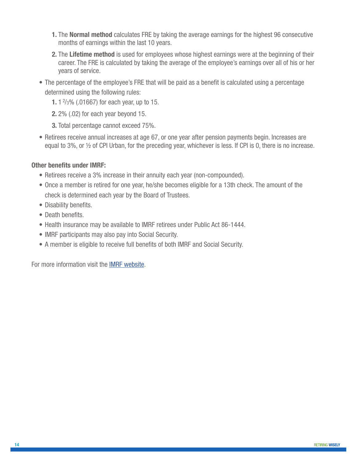- **1.** The **Normal method** calculates FRE by taking the average earnings for the highest 96 consecutive months of earnings within the last 10 years.
- **2.** The **Lifetime method** is used for employees whose highest earnings were at the beginning of their career. The FRE is calculated by taking the average of the employee's earnings over all of his or her years of service.
- The percentage of the employee's FRE that will be paid as a benefit is calculated using a percentage determined using the following rules:
- **1.** 1 2 /3% (.01667) for each year, up to 15.
	- **2.** 2% (.02) for each year beyond 15.
	- **3.** Total percentage cannot exceed 75%.
	- Retirees receive annual increases at age 67, or one year after pension payments begin. Increases are equal to 3%, or ½ of CPI Urban, for the preceding year, whichever is less. If CPI is 0, there is no increase.

# **Other benefits under IMRF:**

- Retirees receive a 3% increase in their annuity each year (non-compounded).
- Once a member is retired for one year, he/she becomes eligible for a 13th check. The amount of the check is determined each year by the Board of Trustees.
- Disability benefits.
- Death benefits.
- Health insurance may be available to IMRF retirees under Public Act 86-1444.
- IMRF participants may also pay into Social Security.
- A member is eligible to receive full benefits of both IMRF and Social Security.

For more information visit the [IMRF website](https://www.imrf.org/).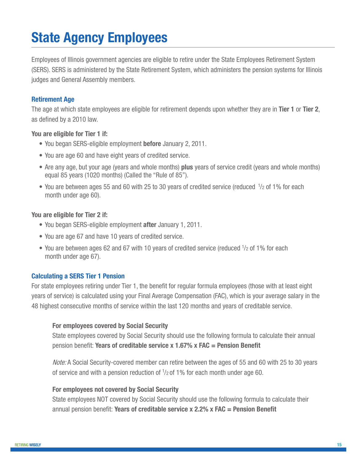# **State Agency Employees**

Employees of Illinois government agencies are eligible to retire under the State Employees Retirement System (SERS). SERS is administered by the State Retirement System, which administers the pension systems for Illinois judges and General Assembly members.

# **Retirement Age**

The age at which state employees are eligible for retirement depends upon whether they are in **Tier 1** or **Tier 2**, as defined by a 2010 law.

# **You are eligible for Tier 1 if:**

- You began SERS-eligible employment **before** January 2, 2011.
- You are age 60 and have eight years of credited service.
- Are any age, but your age (years and whole months) **plus** years of service credit (years and whole months) equal 85 years (1020 months) (Called the "Rule of 85").
- You are between ages 55 and 60 with 25 to 30 years of credited service (reduced  $\frac{1}{2}$  of 1% for each month under age 60).

### **You are eligible for Tier 2 if:**

- You began SERS-eligible employment **after** January 1, 2011.
- You are age 67 and have 10 years of credited service.
- You are between ages 62 and 67 with 10 years of credited service (reduced  $\frac{1}{2}$  of 1% for each month under age 67).

# **Calculating a SERS Tier 1 Pension**

For state employees retiring under Tier 1, the benefit for regular formula employees (those with at least eight years of service) is calculated using your Final Average Compensation (FAC), which is your average salary in the 48 highest consecutive months of service within the last 120 months and years of creditable service.

### **For employees covered by Social Security**

State employees covered by Social Security should use the following formula to calculate their annual pension benefit: **Years of creditable service x 1.67% x FAC = Pension Benefit**

Note: A Social Security-covered member can retire between the ages of 55 and 60 with 25 to 30 years of service and with a pension reduction of  $1/2$  of 1% for each month under age 60.

### **For employees not covered by Social Security**

State employees NOT covered by Social Security should use the following formula to calculate their annual pension benefit: **Years of creditable service x 2.2% x FAC = Pension Benefit**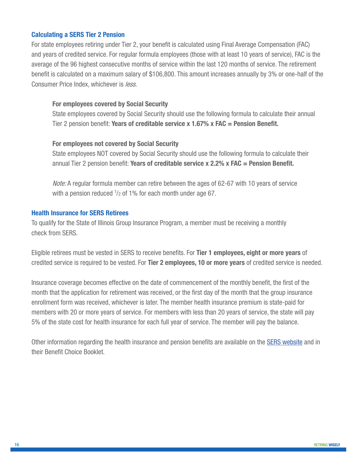### **Calculating a SERS Tier 2 Pension**

For state employees retiring under Tier 2, your benefit is calculated using Final Average Compensation (FAC) and years of credited service. For regular formula employees (those with at least 10 years of service), FAC is the average of the 96 highest consecutive months of service within the last 120 months of service. The retirement benefit is calculated on a maximum salary of \$106,800. This amount increases annually by 3% or one-half of the Consumer Price Index, whichever is *less.* 

### **For employees covered by Social Security**

State employees covered by Social Security should use the following formula to calculate their annual Tier 2 pension benefit: **Years of creditable service x 1.67% x FAC = Pension Benefit.**

### **For employees not covered by Social Security**

State employees NOT covered by Social Security should use the following formula to calculate their annual Tier 2 pension benefit: **Years of creditable service x 2.2% x FAC = Pension Benefit.**

Note: A regular formula member can retire between the ages of 62-67 with 10 years of service with a pension reduced  $1/2$  of 1% for each month under age 67.

### **Health Insurance for SERS Retirees**

To qualify for the State of Illinois Group Insurance Program, a member must be receiving a monthly check from SERS.

Eligible retirees must be vested in SERS to receive benefits. For **Tier 1 employees, eight or more years** of credited service is required to be vested. For **Tier 2 employees, 10 or more years** of credited service is needed.

Insurance coverage becomes effective on the date of commencement of the monthly benefit, the first of the month that the application for retirement was received, or the first day of the month that the group insurance enrollment form was received, whichever is later. The member health insurance premium is state-paid for members with 20 or more years of service. For members with less than 20 years of service, the state will pay 5% of the state cost for health insurance for each full year of service. The member will pay the balance.

Other information regarding the health insurance and pension benefits are available on the [SERS website](https://www.srs.illinois.gov/SERS/home_sers.htm) and in their Benefit Choice Booklet.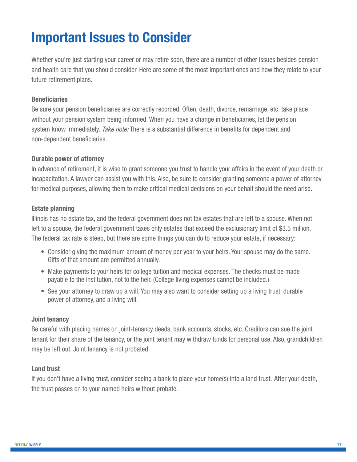# **Important Issues to Consider**

Whether you're just starting your career or may retire soon, there are a number of other issues besides pension and health care that you should consider. Here are some of the most important ones and how they relate to your future retirement plans.

### **Beneficiaries**

Be sure your pension beneficiaries are correctly recorded. Often, death, divorce, remarriage, etc. take place without your pension system being informed. When you have a change in beneficiaries, let the pension system know immediately. Take note: There is a substantial difference in benefits for dependent and non-dependent beneficiaries.

### **Durable power of attorney**

In advance of retirement, it is wise to grant someone you trust to handle your affairs in the event of your death or incapacitation. A lawyer can assist you with this. Also, be sure to consider granting someone a power of attorney for medical purposes, allowing them to make critical medical decisions on your behalf should the need arise.

# **Estate planning**

Illinois has no estate tax, and the federal government does not tax estates that are left to a spouse. When not left to a spouse, the federal government taxes only estates that exceed the exclusionary limit of \$3.5 million. The federal tax rate is steep, but there are some things you can do to reduce your estate, if necessary:

- Consider giving the maximum amount of money per year to your heirs. Your spouse may do the same. Gifts of that amount are permitted annually.
- Make payments to your heirs for college tuition and medical expenses. The checks must be made payable to the institution, not to the heir. (College living expenses cannot be included.)
- See your attorney to draw up a will. You may also want to consider setting up a living trust, durable power of attorney, and a living will.

# **Joint tenancy**

Be careful with placing names on joint-tenancy deeds, bank accounts, stocks, etc. Creditors can sue the joint tenant for their share of the tenancy, or the joint tenant may withdraw funds for personal use. Also, grandchildren may be left out. Joint tenancy is not probated.

# **Land trust**

If you don't have a living trust, consider seeing a bank to place your home(s) into a land trust. After your death, the trust passes on to your named heirs without probate.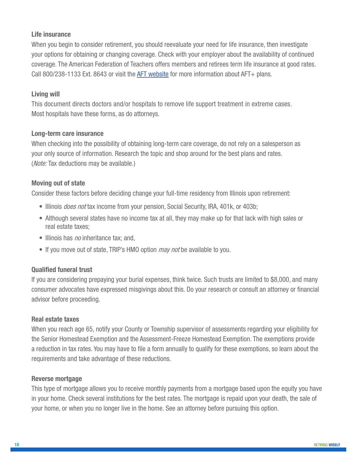# **Life insurance**

When you begin to consider retirement, you should reevaluate your need for life insurance, then investigate your options for obtaining or changing coverage. Check with your employer about the availability of continued coverage. The American Federation of Teachers offers members and retirees term life insurance at good rates. Call 800/238-1133 Ext. 8643 or visit the [AFT website](http://www.aft.org/about/member-benefits) for more information about AFT+ plans.

# **Living will**

This document directs doctors and/or hospitals to remove life support treatment in extreme cases. Most hospitals have these forms, as do attorneys.

# **Long-term care insurance**

When checking into the possibility of obtaining long-term care coverage, do not rely on a salesperson as your only source of information. Research the topic and shop around for the best plans and rates. (*Note:* Tax deductions may be available.)

# **Moving out of state**

Consider these factors before deciding change your full-time residency from Illinois upon retirement:

- Illinois *does not* tax income from your pension, Social Security, IRA, 401k, or 403b;
- Although several states have no income tax at all, they may make up for that lack with high sales or real estate taxes;
- Illinois has *no* inheritance tax; and,
- If you move out of state, TRIP's HMO option *may not* be available to you.

# **Qualified funeral trust**

If you are considering prepaying your burial expenses, think twice. Such trusts are limited to \$8,000, and many consumer advocates have expressed misgivings about this. Do your research or consult an attorney or financial advisor before proceeding.

# **Real estate taxes**

When you reach age 65, notify your County or Township supervisor of assessments regarding your eligibility for the Senior Homestead Exemption and the Assessment-Freeze Homestead Exemption. The exemptions provide a reduction in tax rates. You may have to file a form annually to qualify for these exemptions, so learn about the requirements and take advantage of these reductions.

### **Reverse mortgage**

This type of mortgage allows you to receive monthly payments from a mortgage based upon the equity you have in your home. Check several institutions for the best rates. The mortgage is repaid upon your death, the sale of your home, or when you no longer live in the home. See an attorney before pursuing this option.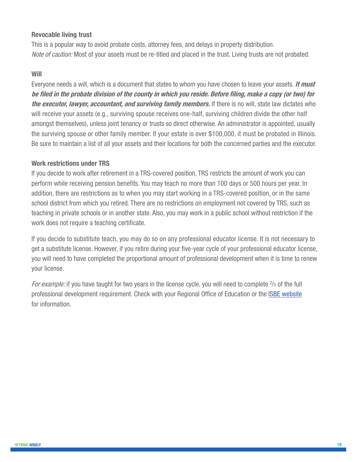# **Revocable living trust**

This is a popular way to avoid probate costs, attorney fees, and delays in property distribution. Note of caution: Most of your assets must be re-titled and placed in the trust. Living trusts are not probated.

### **Will**

Everyone needs a will, which is a document that states to whom you have chosen to leave your assets. **It must be filed in the probate division of the county in which you reside. Before filing, make a copy (or two) for the executor, lawyer, accountant, and surviving family members.** If there is no will, state law dictates who will receive your assets (e.g., surviving spouse receives one-half, surviving children divide the other half amongst themselves), unless joint tenancy or trusts so direct otherwise. An administrator is appointed, usually the surviving spouse or other family member. If your estate is over \$100,000, it must be probated in Illinois. Be sure to maintain a list of all your assets and their locations for both the concerned parties and the executor.

### **Work restrictions under TRS**

If you decide to work after retirement in a TRS-covered position, TRS restricts the amount of work you can perform while receiving pension benefits. You may teach no more than 100 days or 500 hours per year. In addition, there are restrictions as to when you may start working in a TRS-covered position, or in the same school district from which you retired. There are no restrictions on employment not covered by TRS, such as teaching in private schools or in another state. Also, you may work in a public school without restriction if the work does not require a teaching certificate.

If you decide to substitute teach, you may do so on any professional educator license. It is not necessary to get a substitute license. However, if you retire during your five-year cycle of your professional educator license, you will need to have completed the proportional amount of professional development when it is time to renew your license.

For example: if you have taught for two years in the license cycle, you will need to complete <sup>2</sup>/<sub>5</sub> of the full professional development requirement. Check with your Regional Office of Education or the [ISBE website](http://www.isbe.net/) for information.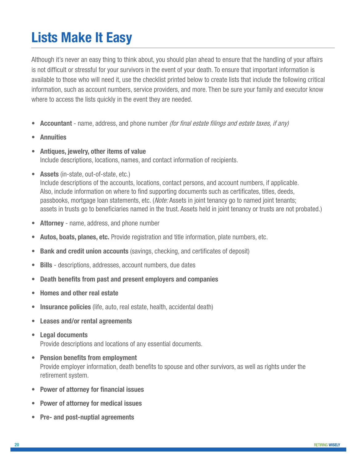# **Lists Make It Easy**

Although it's never an easy thing to think about, you should plan ahead to ensure that the handling of your affairs is not difficult or stressful for your survivors in the event of your death. To ensure that important information is available to those who will need it, use the checklist printed below to create lists that include the following critical information, such as account numbers, service providers, and more. Then be sure your family and executor know where to access the lists quickly in the event they are needed.

- **• Accountant**  name, address, and phone number (for final estate filings and estate taxes, if any)
- **• Annuities**
- **• Antiques, jewelry, other items of value**  Include descriptions, locations, names, and contact information of recipients.
- **Assets** (in-state, out-of-state, etc.)

Include descriptions of the accounts, locations, contact persons, and account numbers, if applicable. Also, include information on where to find supporting documents such as certificates, titles, deeds, passbooks, mortgage loan statements, etc. (*Note:* Assets in joint tenancy go to named joint tenants; assets in trusts go to beneficiaries named in the trust. Assets held in joint tenancy or trusts are not probated.)

- **• Attorney** name, address, and phone number
- **• Autos, boats, planes, etc.** Provide registration and title information, plate numbers, etc.
- **Bank and credit union accounts** (savings, checking, and certificates of deposit)
- **• Bills** descriptions, addresses, account numbers, due dates
- **• Death benefits from past and present employers and companies**
- **• Homes and other real estate**
- **• Insurance policies** (life, auto, real estate, health, accidental death)
- **• Leases and/or rental agreements**
- **• Legal documents**

Provide descriptions and locations of any essential documents.

- **• Pension benefits from employment** Provide employer information, death benefits to spouse and other survivors, as well as rights under the retirement system.
- **• Power of attorney for financial issues**
- **• Power of attorney for medical issues**
- **• Pre- and post-nuptial agreements**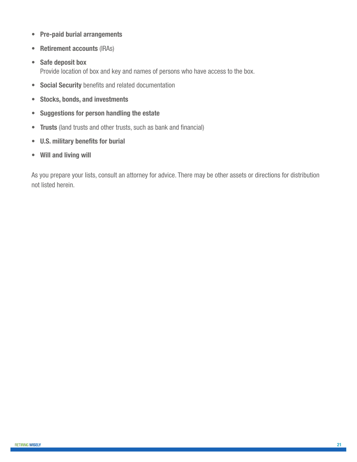- **• Pre-paid burial arrangements**
- **• Retirement accounts** (IRAs)
- **• Safe deposit box**  Provide location of box and key and names of persons who have access to the box.
- **• Social Security** benefits and related documentation
- **• Stocks, bonds, and investments**
- **• Suggestions for person handling the estate**
- **• Trusts** (land trusts and other trusts, such as bank and financial)
- **• U.S. military benefits for burial**
- **• Will and living will**

As you prepare your lists, consult an attorney for advice. There may be other assets or directions for distribution not listed herein.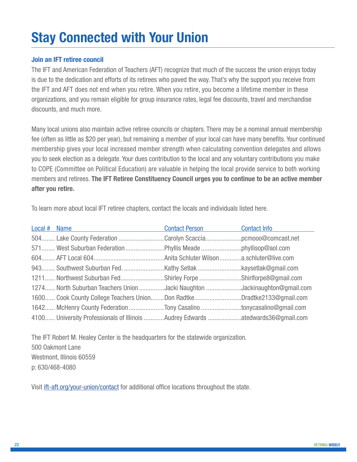# **Stay Connected with Your Union**

# **Join an IFT retiree council**

The IFT and American Federation of Teachers (AFT) recognize that much of the success the union enjoys today is due to the dedication and efforts of its retirees who paved the way. That's why the support you receive from the IFT and AFT does not end when you retire. When you retire, you become a lifetime member in these organizations, and you remain eligible for group insurance rates, legal fee discounts, travel and merchandise discounts, and much more.

Many local unions also maintain active retiree councils or chapters. There may be a nominal annual membership fee (often as little as \$20 per year), but remaining a member of your local can have many benefits. Your continued membership gives your local increased member strength when calculating convention delegates and allows you to seek election as a delegate. Your dues contribution to the local and any voluntary contributions you make to COPE (Committee on Political Education) are valuable in helping the local provide service to both working members and retirees. **The IFT Retiree Constituency Council urges you to continue to be an active member after you retire.**

To learn more about local IFT retiree chapters, contact the locals and individuals listed here.

| Local # Name                                                                   | <b>Contact Person</b> | <b>Contact Info</b> |
|--------------------------------------------------------------------------------|-----------------------|---------------------|
| 504 Lake County Federation Carolyn Scacciapcmooo@comcast.net                   |                       |                     |
|                                                                                |                       |                     |
|                                                                                |                       |                     |
|                                                                                |                       |                     |
| 1211 Northwest Suburban FedShirley Forpe Shirlforpe8@gmail.com                 |                       |                     |
| 1274 North Suburban Teachers Union Jacki Naughton Jackinaughton@gmail.com      |                       |                     |
| 1600 Cook County College Teachers UnionDon RadtkeDradtke2133@gmail.com         |                       |                     |
| 1642 McHenry County Federation Tony Casalino tonycasalino@gmail.com            |                       |                     |
| 4100 University Professionals of Illinois Audrey Edwards atedwards36@gmail.com |                       |                     |

The IFT Robert M. Healey Center is the headquarters for the statewide organization. 500 Oakmont Lane Westmont, Illinois 60559 p: 630/468-4080

Visit [ift-aft.org/your-union/contact](http://www.ift-aft.org/your-union/contact) for additional office locations throughout the state.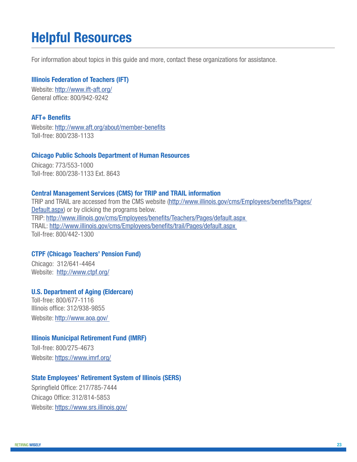# **Helpful Resources**

For information about topics in this guide and more, contact these organizations for assistance.

### **Illinois Federation of Teachers (IFT)**

Website:<http://www.ift-aft.org/> General office: 800/942-9242

#### **AFT+ Benefits**

Website:<http://www.aft.org/about/member-benefits> Toll-free: 800/238-1133

#### **Chicago Public Schools Department of Human Resources**

Chicago: 773/553-1000 Toll-free: 800/238-1133 Ext. 8643

#### **Central Management Services (CMS) for TRIP and TRAIL information**

TRIP and TRAIL are accessed from the CMS website ([http://www.illinois.gov/cms/Employees/benefits/Pages/](http://www.illinois.gov/cms/Employees/benefits/Pages/Default.aspx) [Default.aspx](http://www.illinois.gov/cms/Employees/benefits/Pages/Default.aspx)) or by clicking the programs below. TRIP:<http://www.illinois.gov/cms/Employees/benefits/Teachers/Pages/default.aspx> TRAIL: <http://www.illinois.gov/cms/Employees/benefits/trail/Pages/default.aspx> Toll-free: 800/442-1300

### **CTPF (Chicago Teachers' Pension Fund)**

Chicago: 312/641-4464 Website: <http://www.ctpf.org/>

### **U.S. Department of Aging (Eldercare)**

Toll-free: 800/677-1116 Illinois office: 312/938-9855 Website:<http://www.aoa.gov/>

### **Illinois Municipal Retirement Fund (IMRF)**

Toll-free: 800/275-4673 Website:<https://www.imrf.org/>

#### **State Employees' Retirement System of Illinois (SERS)**

Springfield Office: 217/785-7444 Chicago Office: 312/814-5853 Website: [https://www.srs.illinois.gov/](https://www.srs.illinois.gov/SERS/home_sers.htm)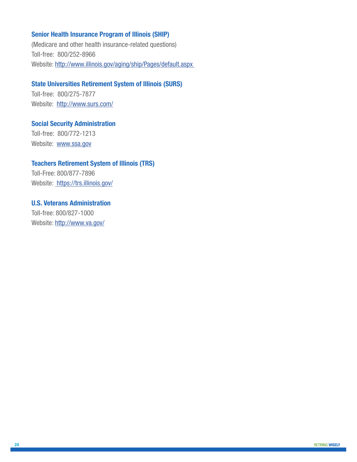### **Senior Health Insurance Program of Illinois (SHIP)**

(Medicare and other health insurance-related questions) Toll-free: 800/252-8966 Website:<http://www.illinois.gov/aging/ship/Pages/default.aspx>

# **State Universities Retirement System of Illinois (SURS)**

Toll-free: 800/275-7877 Website: <http://www.surs.com/>

**Social Security Administration** Toll-free: 800/772-1213 Website: [www.ssa.gov](http://www.ssa.gov)

### **Teachers Retirement System of Illinois (TRS)**

Toll-Free: 800/877-7896 Website: [https://trs.illinois.gov/]( https://trs.illinois.gov/ )

**U.S. Veterans Administration** Toll-free: 800/827-1000 Website:<http://www.va.gov/>